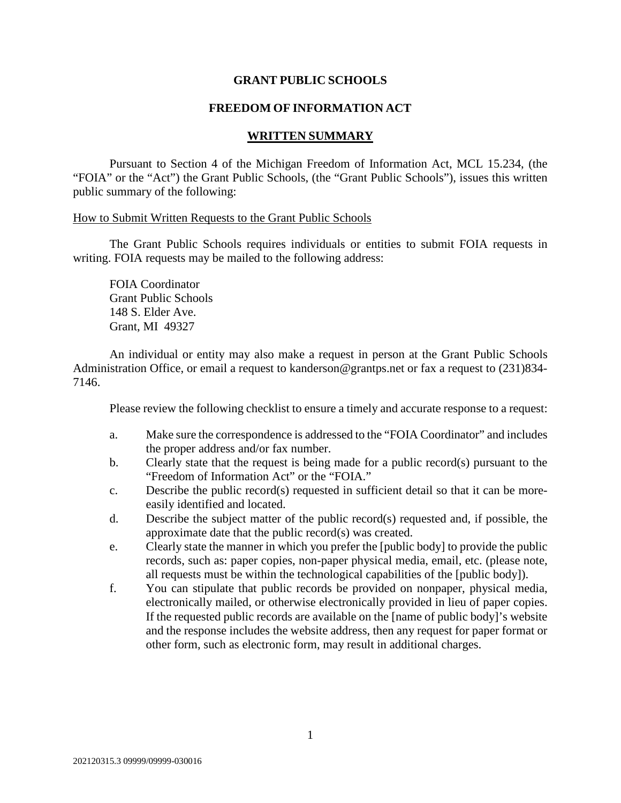# **GRANT PUBLIC SCHOOLS**

# **FREEDOM OF INFORMATION ACT**

#### **WRITTEN SUMMARY**

Pursuant to Section 4 of the Michigan Freedom of Information Act, MCL 15.234, (the "FOIA" or the "Act") the Grant Public Schools, (the "Grant Public Schools"), issues this written public summary of the following:

# How to Submit Written Requests to the Grant Public Schools

The Grant Public Schools requires individuals or entities to submit FOIA requests in writing. FOIA requests may be mailed to the following address:

FOIA Coordinator Grant Public Schools 148 S. Elder Ave. Grant, MI 49327

An individual or entity may also make a request in person at the Grant Public Schools Administration Office, or email a request to kanderson@grantps.net or fax a request to (231)834- 7146.

Please review the following checklist to ensure a timely and accurate response to a request:

- a. Make sure the correspondence is addressed to the "FOIA Coordinator" and includes the proper address and/or fax number.
- b. Clearly state that the request is being made for a public record(s) pursuant to the "Freedom of Information Act" or the "FOIA."
- c. Describe the public record(s) requested in sufficient detail so that it can be moreeasily identified and located.
- d. Describe the subject matter of the public record(s) requested and, if possible, the approximate date that the public record(s) was created.
- e. Clearly state the manner in which you prefer the [public body] to provide the public records, such as: paper copies, non-paper physical media, email, etc. (please note, all requests must be within the technological capabilities of the [public body]).
- f. You can stipulate that public records be provided on nonpaper, physical media, electronically mailed, or otherwise electronically provided in lieu of paper copies. If the requested public records are available on the [name of public body]'s website and the response includes the website address, then any request for paper format or other form, such as electronic form, may result in additional charges.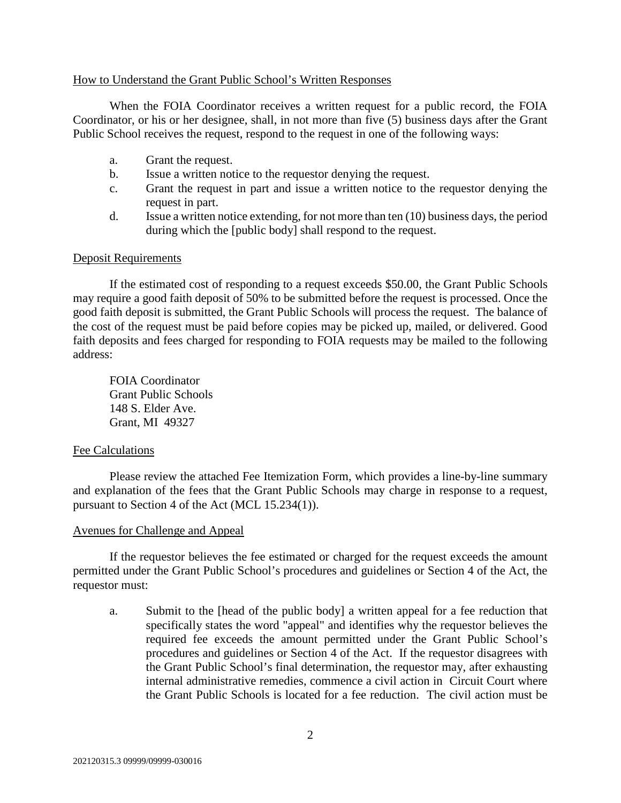# How to Understand the Grant Public School's Written Responses

When the FOIA Coordinator receives a written request for a public record, the FOIA Coordinator, or his or her designee, shall, in not more than five (5) business days after the Grant Public School receives the request, respond to the request in one of the following ways:

- a. Grant the request.
- b. Issue a written notice to the requestor denying the request.
- c. Grant the request in part and issue a written notice to the requestor denying the request in part.
- d. Issue a written notice extending, for not more than ten (10) business days, the period during which the [public body] shall respond to the request.

# Deposit Requirements

If the estimated cost of responding to a request exceeds \$50.00, the Grant Public Schools may require a good faith deposit of 50% to be submitted before the request is processed. Once the good faith deposit is submitted, the Grant Public Schools will process the request. The balance of the cost of the request must be paid before copies may be picked up, mailed, or delivered. Good faith deposits and fees charged for responding to FOIA requests may be mailed to the following address:

FOIA Coordinator Grant Public Schools 148 S. Elder Ave. Grant, MI 49327

# Fee Calculations

Please review the attached Fee Itemization Form, which provides a line-by-line summary and explanation of the fees that the Grant Public Schools may charge in response to a request, pursuant to Section 4 of the Act (MCL 15.234(1)).

# Avenues for Challenge and Appeal

If the requestor believes the fee estimated or charged for the request exceeds the amount permitted under the Grant Public School's procedures and guidelines or Section 4 of the Act, the requestor must:

a. Submit to the [head of the public body] a written appeal for a fee reduction that specifically states the word "appeal" and identifies why the requestor believes the required fee exceeds the amount permitted under the Grant Public School's procedures and guidelines or Section 4 of the Act. If the requestor disagrees with the Grant Public School's final determination, the requestor may, after exhausting internal administrative remedies, commence a civil action in Circuit Court where the Grant Public Schools is located for a fee reduction. The civil action must be